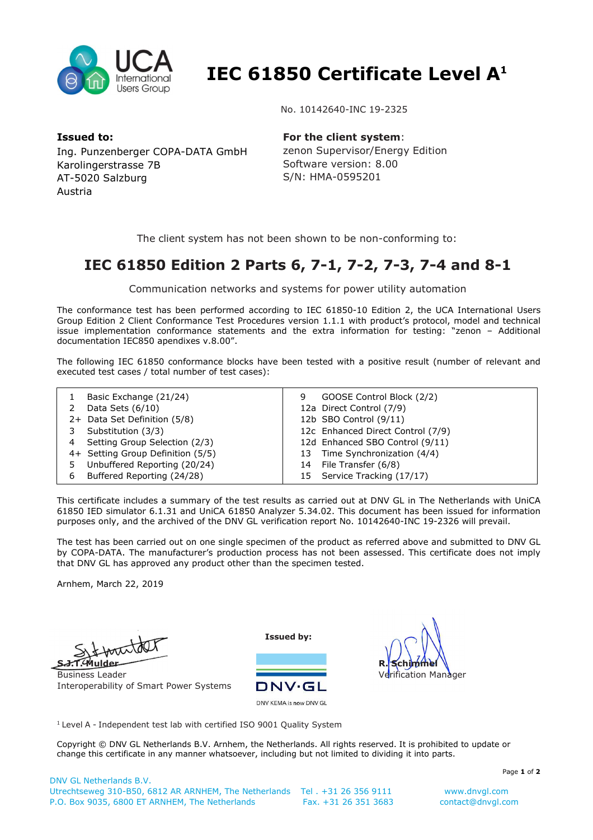

 **IEC 61850 Certificate Level A<sup>1</sup>**

No. 10142640-INC 19-2325

**Issued to:**  Ing. Punzenberger COPA-DATA GmbH Karolingerstrasse 7B AT-5020 Salzburg Austria

**For the client system**:

zenon Supervisor/Energy Edition Software version: 8.00 S/N: HMA-0595201

The client system has not been shown to be non-conforming to:

## **IEC 61850 Edition 2 Parts 6, 7-1, 7-2, 7-3, 7-4 and 8-1**

Communication networks and systems for power utility automation

The conformance test has been performed according to IEC 61850-10 Edition 2, the UCA International Users Group Edition 2 Client Conformance Test Procedures version 1.1.1 with product's protocol, model and technical issue implementation conformance statements and the extra information for testing: "zenon – Additional documentation IEC850 apendixes v.8.00".

The following IEC 61850 conformance blocks have been tested with a positive result (number of relevant and executed test cases / total number of test cases):

|   | Basic Exchange (21/24)            | 9 | GOOSE Control Block (2/2)         |
|---|-----------------------------------|---|-----------------------------------|
|   | Data Sets $(6/10)$                |   | 12a Direct Control (7/9)          |
|   | 2+ Data Set Definition (5/8)      |   | 12b SBO Control (9/11)            |
|   | Substitution (3/3)                |   | 12c Enhanced Direct Control (7/9) |
| 4 | Setting Group Selection (2/3)     |   | 12d Enhanced SBO Control (9/11)   |
|   | 4+ Setting Group Definition (5/5) |   | 13 Time Synchronization (4/4)     |
| 5 | Unbuffered Reporting (20/24)      |   | 14 File Transfer (6/8)            |
| 6 | Buffered Reporting (24/28)        |   | 15 Service Tracking (17/17)       |

This certificate includes a summary of the test results as carried out at DNV GL in The Netherlands with UniCA 61850 IED simulator 6.1.31 and UniCA 61850 Analyzer 5.34.02. This document has been issued for information purposes only, and the archived of the DNV GL verification report No. 10142640-INC 19-2326 will prevail.

The test has been carried out on one single specimen of the product as referred above and submitted to DNV GL by COPA-DATA. The manufacturer's production process has not been assessed. This certificate does not imply that DNV GL has approved any product other than the specimen tested.

Arnhem, March 22, 2019

**S.J.T. Mulder**

Business Leader Interoperability of Smart Power Systems

**Issued by:**





<sup>1</sup> Level A - Independent test lab with certified ISO 9001 Quality System

Copyright © DNV GL Netherlands B.V. Arnhem, the Netherlands. All rights reserved. It is prohibited to update or change this certificate in any manner whatsoever, including but not limited to dividing it into parts.

Page **1** of **2**